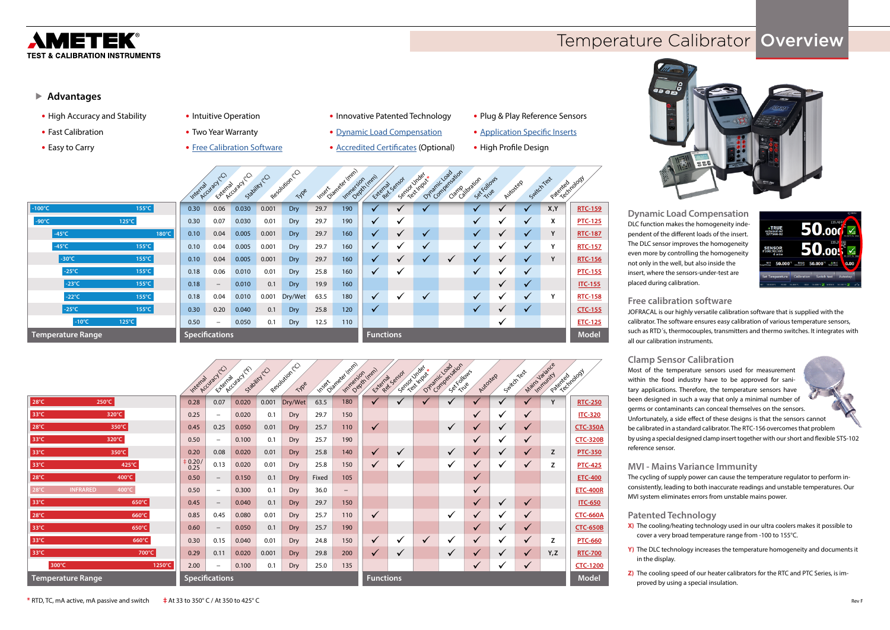## METEK® **TEST & CALIBRATION INSTRUMENTS**

### ▶ Advantages

**Dynamic Load Compensation** DLC function makes the homogeneity independent of the different loads of the insert. The DLC sensor improves the homogeneity even more by controlling the homogeneity not only in the well, but also inside the insert, where the sensors-under-test are placed during calibration.

**Free calibration software** JOFRACAL is our highly versatile calibration software that is supplied with the calibrator. The software ensures easy calibration of various temperature sensors, such as RTD´s, thermocouples, transmitters and thermo switches. It integrates with all our calibration instruments.

**Clamp Sensor Calibration** Most of the temperature sensors used for measurement within the food industry have to be approved for sanitary applications. Therefore, the temperature sensors have been designed in such a way that only a minimal number of germs or contaminants can conceal themselves on the sensors. Unfortunately, a side effect of these designs is that the sensors cannot be calibrated in a standard calibrator. The RTC-156 overcomes that problem by using a special designed clamp insert together with our short and flexible STS-102 reference sensor.

**MVI - Mains Variance Immunity** The cycling of supply power can cause the temperature regulator to perform inconsistently, leading to both inaccurate readings and unstable temperatures. Our MVI system eliminates errors from unstable mains power.

### **Patented Technology**

**X)** The cooling/heating technology used in our ultra coolers makes it possible to cover a very broad temperature range from -100 to 155°C.

**Y)** The DLC technology increases the temperature homogeneity and documents it

- in the display.
- 

**Z)** The cooling speed of our heater calibrators for the RTC and PTC Series, is improved by using a special insulation.

- **•** High Accuracy and Stability
- **•** Fast Calibration
- **•** Easy to Carry
- **•** Intuitive Operation
- **•** Two Year Warranty
- **•** [Free Calibration Software](http://www.ametekcalibration.com/products/software/calibration-software/jofracal-calibration-software)
- **•** Innovative Patented Technology
- **•** [Dynamic Load Compensation](http://www.ametekcalibration.com/~/media/ametekcalibration/download_links/temperature%20sensors/dlc/dynamic-load-compensation-data-sheet-us.pdf)

**•** [Accredited Certificates](http://www.ametekcalibration.com/support/documentation/product-certifications) (Optional)

- **•** Plug & Play Reference Sensors
- **•** [Application Specific Inserts](http://www.ametekcalibration.com/knowledge/temperature-calibration/correct-use-of-inserts)
- **•** High Profile Design



|                                |                 |                 | Internal | Accuracyco               | Exemptive CICO | Stability CO | Resolution CO<br>Type |      | Inspirational (mm) | Impression (mm)  | Exempt sensor | Sensor Under ** | Ovlamic Loadwigh | Sex Follows<br>Camp siloration | Autostep | SwitchTest   | Paterted nobod |                |
|--------------------------------|-----------------|-----------------|----------|--------------------------|----------------|--------------|-----------------------|------|--------------------|------------------|---------------|-----------------|------------------|--------------------------------|----------|--------------|----------------|----------------|
| $-100^{\circ}$ C               |                 | $155^{\circ}$ C | 0.30     | 0.06                     | 0.030          | 0.001        | Dry/                  | 29.7 | 190                | $\checkmark$     |               |                 |                  | $\checkmark$                   |          | √            | X, Y           | <b>RTC-159</b> |
| $-90^{\circ}$ C                |                 | 125°C           | 0.30     | 0.07                     | 0.030          | 0.01         | Dry                   | 29.7 | 190                | $\checkmark$     | ✔             |                 |                  | $\checkmark$                   | ✓        | $\checkmark$ | X              | <b>PTC-125</b> |
|                                | $-45^{\circ}$ C | 180°C           | 0.10     | 0.04                     | 0.005          | 0.001        | <b>Dry</b>            | 29.7 | 160                | $\checkmark$     |               | $\checkmark$    |                  | $\checkmark$                   | ✓        | $\checkmark$ | Y              | <b>RTC-187</b> |
|                                | $-45^{\circ}$ C | $155^{\circ}$ C | 0.10     | 0.04                     | 0.005          | 0.001        | Dry                   | 29.7 | 160                | $\checkmark$     | ີ             | $\checkmark$    |                  | $\checkmark$                   | ✔        | $\checkmark$ | ٧              | <b>RTC-157</b> |
|                                | -30°C           | $155^{\circ}$ C | 0.10     | 0.04                     | 0.005          | 0.001        | Dry/                  | 29.7 | 160                | $\checkmark$     |               | $\checkmark$    | $\checkmark$     | $\checkmark$                   | ✓        | $\checkmark$ | Υ              | <b>RTC-156</b> |
|                                | $-25^{\circ}$ C | $155^{\circ}$ C | 0.18     | 0.06                     | 0.010          | 0.01         | Dry                   | 25.8 | 160                | $\checkmark$     | ✔             |                 |                  | $\checkmark$                   | ✔        | $\checkmark$ |                | <b>PTC-155</b> |
|                                | -23°C           | $155^{\circ}$ C | 0.18     | $\overline{\phantom{0}}$ | 0.010          | 0.1          | Dry                   | 19.9 | 160                |                  |               |                 |                  |                                |          | $\checkmark$ |                | <b>ITC-155</b> |
|                                | $-22^{\circ}$ C | $155^{\circ}$ C | 0.18     | 0.04                     | 0.010          | 0.001        | Dry/Wet               | 63.5 | 180                | $\checkmark$     | v             | $\checkmark$    |                  | $\checkmark$                   | ✓        | $\checkmark$ | v              | <b>RTC-158</b> |
|                                | $-25^{\circ}$ C | $155^{\circ}$ C | 0.30     | 0.20                     | 0.040          | 0.1          | Dry                   | 25.8 | 120                | $\checkmark$     |               |                 |                  | $\checkmark$                   |          | $\checkmark$ |                | <b>CTC-155</b> |
|                                | $-10^{\circ}$ C | $125^{\circ}$ C | 0.50     | $\overline{\phantom{0}}$ | 0.050          | 0.1          | Dry                   | 12.5 | 110                |                  |               |                 |                  |                                | ✓        |              |                | <b>ETC-125</b> |
| Temperature Range <sup>'</sup> |                 |                 |          | <b>Specifications</b>    |                |              |                       |      |                    | <b>Functions</b> |               |                 |                  |                                |          |              |                | <b>Model</b>   |



# Temperature Calibrator Overview



|                                            | Internal     | Accuracy CO              | Exemptivecy of | Stability (C) | Resolution CO<br>Type |       | Insert Dangee (mm)<br>Impersion (mm) |                  | Exempt sensor | Service Index | Overland Companion      | Sex Tubous<br>Autostep |              | SuitchTest   | Main Janaries<br>Patertechnology |                 |
|--------------------------------------------|--------------|--------------------------|----------------|---------------|-----------------------|-------|--------------------------------------|------------------|---------------|---------------|-------------------------|------------------------|--------------|--------------|----------------------------------|-----------------|
| $28^{\circ}$ C<br>250°C                    | 0.28         | 0.07                     | 0.020          | 0.001         | Dry/Wet               | 63.5  | 180                                  |                  | ✔             |               |                         |                        | $\checkmark$ |              | Y                                | <b>RTC-250</b>  |
| $33^{\circ}$ C<br>320°C                    | 0.25         | $\qquad \qquad -$        | 0.020          | 0.1           | Dry                   | 29.7  | 150                                  |                  |               |               |                         |                        | v            | $\checkmark$ |                                  | <b>ITC-320</b>  |
| $28^{\circ}$ C<br>350°C                    | 0.45         | 0.25                     | 0.050          | 0.01          | Dry                   | 25.7  | 110                                  | $\checkmark$     |               |               | $\checkmark$            | ✓                      | $\checkmark$ | $\checkmark$ |                                  | <b>CTC-350A</b> |
| $33^{\circ}$ C<br>320°C                    | 0.50         | $\qquad \qquad -$        | 0.100          | 0.1           | Dry                   | 25.7  | 190                                  |                  |               |               |                         | $\checkmark$           | ✔            | $\checkmark$ |                                  | <b>CTC-320B</b> |
| $33^{\circ}$ C<br>350°C                    | 0.20         | 0.08                     | 0.020          | 0.01          | Dry                   | 25.8  | 140                                  | $\checkmark$     | ✔             |               | $\checkmark$            | $\checkmark$           | ✔            | $\checkmark$ | Z                                | <b>PTC-350</b>  |
| 425°C<br>33°C                              | $+0.20/0.25$ | 0.13                     | 0.020          | 0.01          | Dry                   | 25.8  | 150                                  |                  | ✔             |               | √                       | ✓                      | ✔            | $\checkmark$ | z                                | <b>PTC-425</b>  |
| $28^{\circ}$ C<br>400°C                    | 0.50         | $\qquad \qquad -$        | 0.150          | 0.1           | Dry                   | Fixed | 105                                  |                  |               |               |                         | ✓                      |              |              |                                  | <b>ETC-400</b>  |
| 400°C<br>$28^{\circ}$ C<br><b>INFRARED</b> | 0.50         | $\qquad \qquad -$        | 0.300          | 0.1           | Dry                   | 36.0  | $\qquad \qquad -$                    |                  |               |               |                         | $\sqrt{}$              |              |              |                                  | <b>ETC-400R</b> |
| $33^{\circ}$ C<br>650°C                    | 0.45         | $\qquad \qquad -$        | 0.040          | 0.1           | Dry                   | 29.7  | 150                                  |                  |               |               |                         | ✓                      | $\checkmark$ | $\checkmark$ |                                  | <b>ITC-650</b>  |
| $28^{\circ}C$<br>660°C                     | 0.85         | 0.45                     | 0.080          | 0.01          | Dry                   | 25.7  | 110                                  |                  |               |               | ✔                       | $\sqrt{}$              | ✔            | $\checkmark$ |                                  | <b>CTC-660A</b> |
| 650°C<br>$33^{\circ}$ C                    | 0.60         | $\overline{\phantom{0}}$ | 0.050          | 0.1           | Dry                   | 25.7  | 190                                  |                  |               |               |                         | $\sqrt{}$              | $\checkmark$ | $\sqrt{}$    |                                  | <b>CTC-650B</b> |
| 660°C<br>33°C                              | 0.30         | 0.15                     | 0.040          | 0.01          | Dry                   | 24.8  | 150                                  |                  | ✔             | $\checkmark$  | $\overline{\mathbf{v}}$ |                        | ✔            | $\checkmark$ | Z                                | <b>PTC-660</b>  |
| 33°C<br>700°C                              | 0.29         | 0.11                     | 0.020          | 0.001         | Dry                   | 29.8  | 200                                  |                  | ✔             |               | $\checkmark$            |                        |              | $\checkmark$ | Y,Z                              | <b>RTC-700</b>  |
| 300°C<br>1250°C                            | 2.00         | $-$                      | 0.100          | 0.1           | Dry                   | 25.0  | 135                                  |                  |               |               |                         | ✓                      | v            | $\checkmark$ |                                  | <b>CTC-1200</b> |
| <b>Temperature Range</b>                   |              | <b>Specifications</b>    |                |               |                       |       |                                      | <b>Functions</b> |               |               |                         |                        |              |              |                                  | <b>Model</b>    |